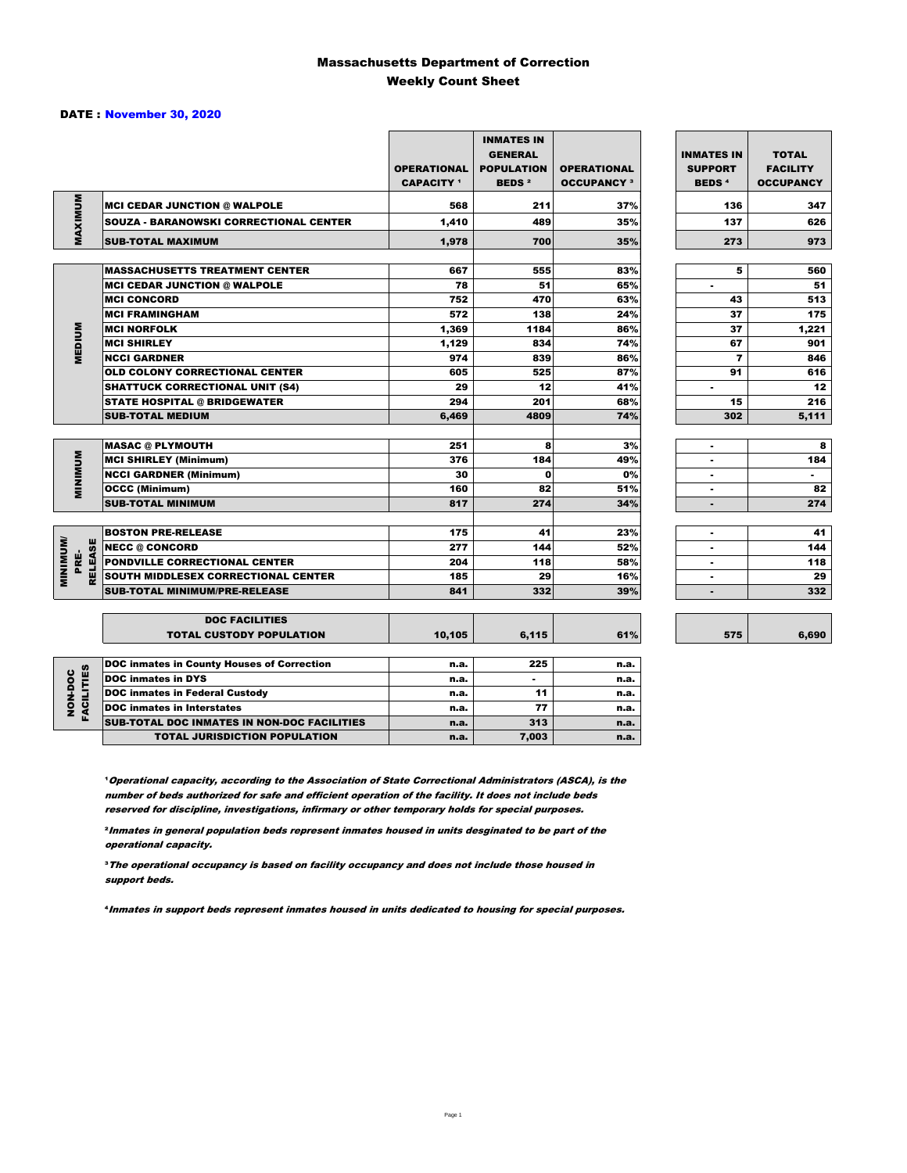#### Massachusetts Department of Correction Weekly Count Sheet

#### DATE : November 30, 2020

|                                           |                                                    | <b>OPERATIONAL</b><br><b>CAPACITY</b> 1 | <b>INMATES IN</b><br><b>GENERAL</b><br><b>POPULATION</b><br><b>BEDS<sup>2</sup></b> | <b>OPERATIONAL</b><br><b>OCCUPANCY 3</b> | <b>INMATES IN</b><br><b>SUPPORT</b><br><b>BEDS<sup>4</sup></b> | <b>TOTAL</b><br><b>FACILITY</b><br><b>OCCUPANCY</b> |
|-------------------------------------------|----------------------------------------------------|-----------------------------------------|-------------------------------------------------------------------------------------|------------------------------------------|----------------------------------------------------------------|-----------------------------------------------------|
| MAXIMUM                                   | <b>MCI CEDAR JUNCTION @ WALPOLE</b>                | 568                                     | 211                                                                                 | 37%                                      | 136                                                            | 347                                                 |
|                                           | <b>SOUZA - BARANOWSKI CORRECTIONAL CENTER</b>      | 1,410                                   | 489                                                                                 | 35%                                      | 137                                                            | 626                                                 |
|                                           | <b>SUB-TOTAL MAXIMUM</b>                           | 1,978                                   | 700                                                                                 | 35%                                      | 273                                                            | 973                                                 |
|                                           |                                                    |                                         |                                                                                     |                                          |                                                                |                                                     |
|                                           | <b>MASSACHUSETTS TREATMENT CENTER</b>              | 667                                     | 555                                                                                 | 83%                                      | 5                                                              | 560                                                 |
|                                           | <b>MCI CEDAR JUNCTION @ WALPOLE</b>                | 78                                      | 51                                                                                  | 65%                                      | ٠                                                              | 51                                                  |
|                                           | <b>MCI CONCORD</b>                                 | 752                                     | 470                                                                                 | 63%                                      | 43                                                             | 513                                                 |
|                                           | <b>MCI FRAMINGHAM</b>                              | 572                                     | 138                                                                                 | 24%                                      | 37                                                             | 175                                                 |
|                                           | <b>MCI NORFOLK</b>                                 | 1,369                                   | 1184                                                                                | 86%                                      | 37                                                             | 1,221                                               |
| <b>MEDIUM</b>                             | <b>MCI SHIRLEY</b>                                 | 1,129                                   | 834                                                                                 | 74%                                      | 67                                                             | 901                                                 |
|                                           | <b>NCCI GARDNER</b>                                | 974                                     | 839                                                                                 | 86%                                      | $\overline{ }$                                                 | 846                                                 |
|                                           | <b>OLD COLONY CORRECTIONAL CENTER</b>              | 605                                     | 525                                                                                 | 87%                                      | 91                                                             | 616                                                 |
|                                           | <b>SHATTUCK CORRECTIONAL UNIT (S4)</b>             | 29                                      | 12                                                                                  | 41%                                      | ٠                                                              | 12                                                  |
|                                           | <b>STATE HOSPITAL @ BRIDGEWATER</b>                | 294                                     | 201                                                                                 | 68%                                      | 15                                                             | 216                                                 |
|                                           | <b>SUB-TOTAL MEDIUM</b>                            | 6,469                                   | 4809                                                                                | 74%                                      | 302                                                            | 5,111                                               |
|                                           | <b>MASAC @ PLYMOUTH</b>                            | 251                                     | 8                                                                                   | 3%                                       | ٠                                                              | 8                                                   |
|                                           | <b>MCI SHIRLEY (Minimum)</b>                       | 376                                     | 184                                                                                 | 49%                                      |                                                                | 184                                                 |
| <b>MINIMUM</b>                            | <b>NCCI GARDNER (Minimum)</b>                      | 30                                      | $\mathbf{0}$                                                                        | 0%                                       | ٠<br>٠                                                         |                                                     |
|                                           | <b>OCCC (Minimum)</b>                              | 160                                     | 82                                                                                  | 51%                                      | ٠                                                              | ٠<br>82                                             |
|                                           | <b>SUB-TOTAL MINIMUM</b>                           | 817                                     | 274                                                                                 | 34%                                      | $\blacksquare$                                                 | 274                                                 |
|                                           |                                                    |                                         |                                                                                     |                                          |                                                                |                                                     |
|                                           | <b>BOSTON PRE-RELEASE</b>                          | 175                                     | 41                                                                                  | 23%                                      | ٠                                                              | 41                                                  |
|                                           | <b>NECC @ CONCORD</b>                              | 277                                     | 144                                                                                 | 52%                                      |                                                                | 144                                                 |
| <b>MINIMIMU</b><br><b>RELEASE</b><br>PRE- | PONDVILLE CORRECTIONAL CENTER                      | 204                                     | 118                                                                                 | 58%                                      | ٠                                                              | 118                                                 |
|                                           | SOUTH MIDDLESEX CORRECTIONAL CENTER                | 185                                     | 29                                                                                  | 16%                                      |                                                                | 29                                                  |
|                                           | <b>SUB-TOTAL MINIMUM/PRE-RELEASE</b>               | 841                                     | 332                                                                                 | 39%                                      | $\overline{\phantom{a}}$                                       | 332                                                 |
|                                           |                                                    |                                         |                                                                                     |                                          |                                                                |                                                     |
|                                           | <b>DOC FACILITIES</b>                              |                                         |                                                                                     |                                          |                                                                |                                                     |
|                                           | <b>TOTAL CUSTODY POPULATION</b>                    | 10,105                                  | 6,115                                                                               | 61%                                      | 575                                                            | 6,690                                               |
|                                           | <b>DOC inmates in County Houses of Correction</b>  | n.a.                                    | 225                                                                                 | n.a.                                     |                                                                |                                                     |
|                                           | <b>DOC</b> inmates in DYS                          | n.a.                                    | $\blacksquare$                                                                      | n.a.                                     |                                                                |                                                     |
| FACILITIES<br>NON-DOC                     | <b>DOC inmates in Federal Custody</b>              | n.a.                                    | 11                                                                                  | n.a.                                     |                                                                |                                                     |
|                                           | <b>DOC</b> inmates in Interstates                  | n.a.                                    | 77                                                                                  | n.a.                                     |                                                                |                                                     |
|                                           | <b>SUB-TOTAL DOC INMATES IN NON-DOC FACILITIES</b> | n.a.                                    | 313                                                                                 | n.a.                                     |                                                                |                                                     |

**Operational capacity, according to the Association of State Correctional Administrators (ASCA), is the** number of beds authorized for safe and efficient operation of the facility. It does not include beds reserved for discipline, investigations, infirmary or other temporary holds for special purposes.

TOTAL JURISDICTION POPULATION **n.a.** 7,003 n.a.

²Inmates in general population beds represent inmates housed in units desginated to be part of the operational capacity.

³The operational occupancy is based on facility occupancy and does not include those housed in support beds.

⁴Inmates in support beds represent inmates housed in units dedicated to housing for special purposes.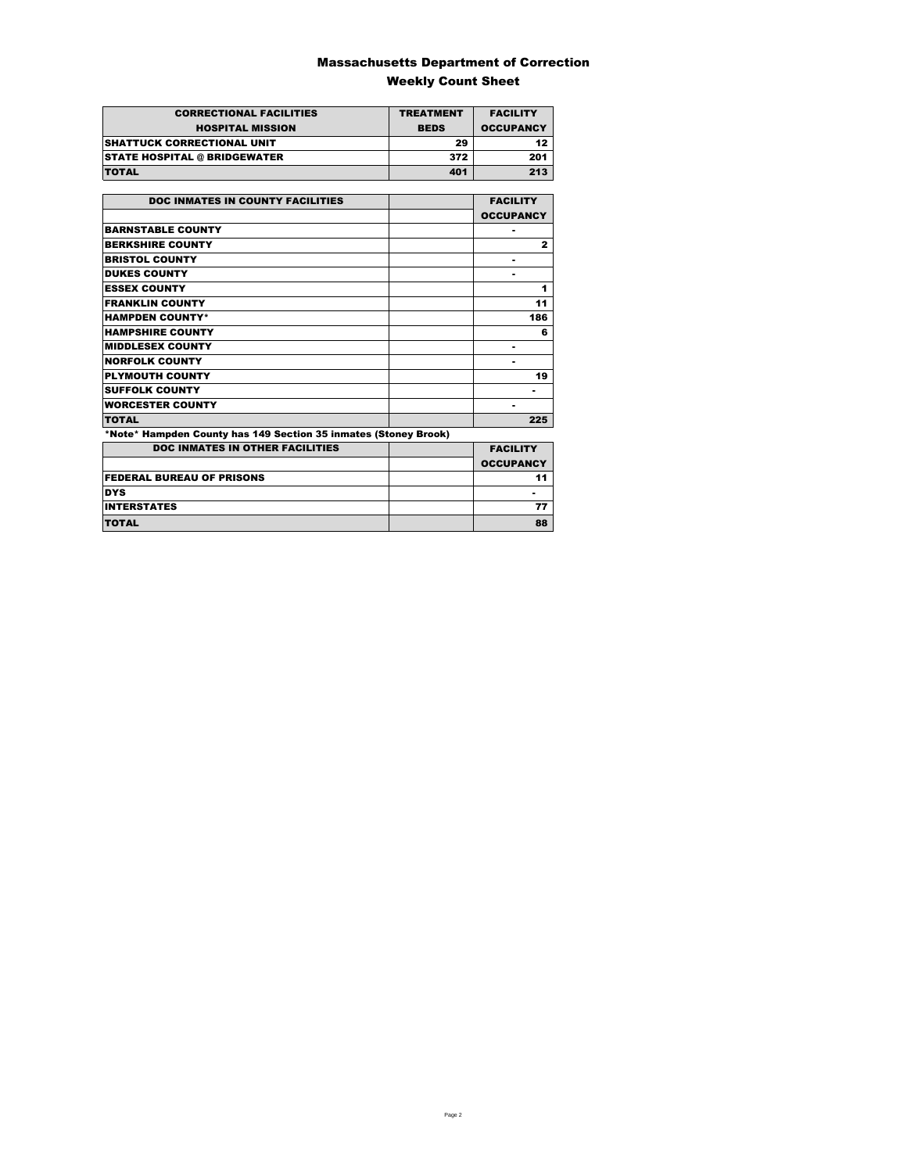### Massachusetts Department of Correction Weekly Count Sheet

| <b>CORRECTIONAL FACILITIES</b>      | <b>TREATMENT</b> | <b>FACILITY</b>  |
|-------------------------------------|------------------|------------------|
| <b>HOSPITAL MISSION</b>             | <b>BEDS</b>      | <b>OCCUPANCY</b> |
| <b>SHATTUCK CORRECTIONAL UNIT</b>   | 29               | 12               |
| <b>STATE HOSPITAL @ BRIDGEWATER</b> | 372              | 201              |
| <b>TOTAL</b>                        | 401              | 213              |

| <b>DOC INMATES IN COUNTY FACILITIES</b>                         | <b>FACILITY</b>  |
|-----------------------------------------------------------------|------------------|
|                                                                 | <b>OCCUPANCY</b> |
| <b>BARNSTABLE COUNTY</b>                                        |                  |
| <b>BERKSHIRE COUNTY</b>                                         | $\mathbf{z}$     |
| <b>BRISTOL COUNTY</b>                                           |                  |
| <b>DUKES COUNTY</b>                                             |                  |
| <b>ESSEX COUNTY</b>                                             | 1                |
| <b>FRANKLIN COUNTY</b>                                          | 11               |
| <b>HAMPDEN COUNTY*</b>                                          | 186              |
| <b>HAMPSHIRE COUNTY</b>                                         | 6                |
| <b>MIDDLESEX COUNTY</b>                                         | ۰                |
| <b>NORFOLK COUNTY</b>                                           | ۰                |
| <b>PLYMOUTH COUNTY</b>                                          | 19               |
| <b>SUFFOLK COUNTY</b>                                           |                  |
| <b>WORCESTER COUNTY</b>                                         |                  |
| <b>TOTAL</b>                                                    | 225              |
| *Note* Hampden County has 149 Section 35 inmates (Stoney Brook) |                  |
| <b>DOC INMATES IN OTHER FACILITIES</b>                          | <b>FACILITY</b>  |
|                                                                 | <b>OCCUPANCY</b> |
| <b>FEDERAL BUREAU OF PRISONS</b>                                | 11               |
| <b>DYS</b>                                                      |                  |
| <b>INTERSTATES</b>                                              | 77               |
| <b>TOTAL</b>                                                    | 88               |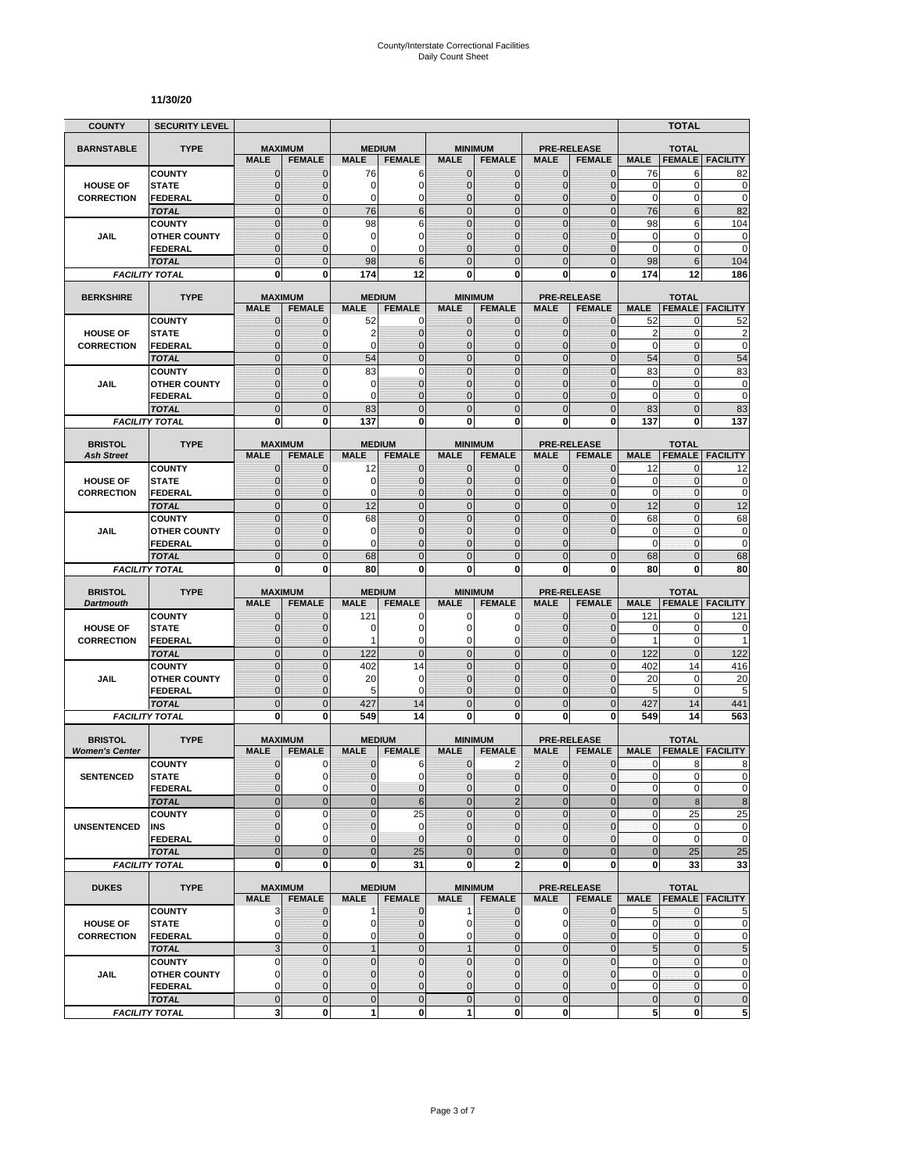#### **11/30/20**

| <b>COUNTY</b>                           | <b>SECURITY LEVEL</b>                 |                               |                               |                             |                                  |                                |                                  |                               |                                     |                            | <b>TOTAL</b>                   |                                  |
|-----------------------------------------|---------------------------------------|-------------------------------|-------------------------------|-----------------------------|----------------------------------|--------------------------------|----------------------------------|-------------------------------|-------------------------------------|----------------------------|--------------------------------|----------------------------------|
| <b>BARNSTABLE</b>                       | <b>TYPE</b>                           | <b>MAXIMUM</b>                |                               | <b>MEDIUM</b>               |                                  |                                | <b>MINIMUM</b>                   |                               | <b>PRE-RELEASE</b>                  |                            | <b>TOTAL</b>                   |                                  |
|                                         |                                       | <b>MALE</b>                   | <b>FEMALE</b>                 | <b>MALE</b>                 | <b>FEMALE</b>                    | <b>MALE</b>                    | <b>FEMALE</b>                    | <b>MALE</b>                   | <b>FEMALE</b>                       | <b>MALE</b>                | <b>FEMALE</b>                  | <b>FACILITY</b>                  |
|                                         | <b>COUNTY</b>                         | $\mathbf 0$                   | $\mathbf{0}$                  | 76                          | 6                                | $\mathbf 0$                    | 0                                | $\mathbf{0}$                  | $\mathbf{0}$                        | 76                         | 6                              | 82                               |
| <b>HOUSE OF</b>                         | <b>STATE</b>                          | $\overline{0}$                | $\mathbf 0$                   | 0<br>0                      | $\overline{0}$<br>0              | $\mathbf 0$<br>$\mathbf 0$     | $\overline{0}$                   | $\mathbf{0}$                  | $\overline{0}$                      | $\mathbf 0$<br>$\mathbf 0$ | $\mathbf 0$<br>0               | $\mathbf 0$<br>$\mathbf 0$       |
| <b>CORRECTION</b>                       | FEDERAL<br><b>TOTAL</b>               | $\mathbf 0$<br>$\mathbf 0$    | $\mathbf{0}$<br>$\mathbf{0}$  | 76                          | 6                                | $\overline{0}$                 | $\mathbf 0$<br>$\mathbf 0$       | $\mathbf 0$<br>$\mathbf{0}$   | $\overline{0}$<br>$\mathbf 0$       | 76                         | 6                              | 82                               |
|                                         | <b>COUNTY</b>                         | $\mathbf 0$                   | $\mathbf{0}$                  | 98                          | 6                                | $\mathbf 0$                    | $\mathbf 0$                      | $\mathbf 0$                   | $\overline{0}$                      | 98                         | 6                              | 104                              |
| JAIL                                    | <b>OTHER COUNTY</b>                   | $\mathbf 0$                   | $\mathbf{0}$                  | 0                           | 0                                | $\mathbf{0}$                   | $\overline{0}$                   | $\mathbf 0$                   | $\overline{0}$                      | $\mathbf 0$                | $\mathbf 0$                    | $\mathbf 0$                      |
|                                         | <b>FEDERAL</b>                        | $\mathbf 0$                   | $\mathbf{0}$                  | 0                           | $\Omega$                         | $\Omega$                       | $\overline{0}$                   | $\Omega$                      | $\overline{0}$                      | $\mathbf 0$                | 0                              | $\mathbf 0$                      |
|                                         | <b>TOTAL</b>                          | $\overline{0}$                | $\Omega$                      | 98                          | 6                                | $\Omega$                       | $\overline{0}$                   | $\Omega$                      | $\overline{0}$                      | 98                         | 6                              | 104                              |
|                                         | <b>FACILITY TOTAL</b>                 | 0                             | 0                             | 174                         | 12                               | $\mathbf{0}$                   | 0                                | 0                             | 0                                   | 174                        | 12                             | 186                              |
| <b>BERKSHIRE</b>                        | <b>TYPE</b>                           | <b>MAXIMUM</b>                |                               |                             | <b>MEDIUM</b>                    |                                | <b>MINIMUM</b>                   |                               | <b>PRE-RELEASE</b>                  |                            | <b>TOTAL</b>                   |                                  |
|                                         |                                       | <b>MALE</b>                   | <b>FEMALE</b>                 | <b>MALE</b>                 | <b>FEMALE</b>                    | <b>MALE</b>                    | <b>FEMALE</b>                    | <b>MALE</b>                   | <b>FEMALE</b>                       | <b>MALE</b>                | <b>FEMALE</b>                  | <b>FACILITY</b>                  |
|                                         | <b>COUNTY</b>                         | $\mathbf{0}$                  | $\mathbf 0$                   | 52                          | 0                                | $\mathbf{0}$                   | $\mathbf{0}$                     | $\mathbf{0}$                  | $\mathbf 0$                         | 52                         | 0                              | 52                               |
| <b>HOUSE OF</b>                         | <b>STATE</b>                          | 0                             | $\mathbf{0}$                  | $\overline{2}$              | $\mathbf 0$                      | $\mathbf{0}$                   | $\mathbf 0$                      | $\mathbf{0}$                  | $\mathbf{0}$                        | $\overline{2}$             | 0                              | $\overline{c}$                   |
| <b>CORRECTION</b>                       | <b>FEDERAL</b><br><b>TOTAL</b>        | $\mathbf 0$<br>$\overline{0}$ | $\mathbf 0$<br>$\mathbf{0}$   | 0<br>54                     | $\overline{0}$<br>$\overline{0}$ | $\mathbf{0}$<br>$\overline{0}$ | $\overline{0}$<br>$\overline{0}$ | $\mathbf{0}$<br>$\mathbf{0}$  | $\mathbf 0$<br>$\overline{0}$       | $\mathbf 0$<br>54          | 0<br>$\overline{0}$            | $\mathbf 0$<br>54                |
|                                         | <b>COUNTY</b>                         | $\overline{0}$                | $\overline{0}$                | 83                          | $\overline{0}$                   | $\overline{0}$                 | $\overline{0}$                   | $\overline{0}$                | $\overline{0}$                      | 83                         | $\mathbf{0}$                   | 83                               |
| <b>JAIL</b>                             | <b>OTHER COUNTY</b>                   | 0                             | $\mathbf{0}$                  | 0                           | $\overline{0}$                   | $\mathbf{0}$                   | $\mathbf 0$                      | $\Omega$                      | $\mathbf{0}$                        | 0                          | $\mathbf{0}$                   | $\pmb{0}$                        |
|                                         | <b>FEDERAL</b>                        | $\mathbf 0$                   | $\mathbf{0}$                  | 0                           | $\overline{0}$                   | $\mathbf{0}$                   | $\overline{0}$                   | $\mathbf 0$                   | $\overline{0}$                      | $\mathbf 0$                | $\mathbf{0}$                   | $\mathbf 0$                      |
|                                         | <b>TOTAL</b>                          | $\mathbf 0$                   | $\mathbf{0}$                  | 83                          | $\overline{0}$                   | $\mathbf{0}$                   | $\mathbf 0$                      | $\mathbf{0}$                  | $\mathbf 0$                         | 83                         | $\overline{0}$                 | 83                               |
|                                         | <b>FACILITY TOTAL</b>                 | 0                             | $\bf{0}$                      | 137                         | 0                                | 0                              | $\bf{0}$                         | 0                             | 0                                   | 137                        | 0                              | 137                              |
| <b>BRISTOL</b>                          | <b>TYPE</b>                           | <b>MAXIMUM</b>                |                               |                             | <b>MEDIUM</b>                    |                                | <b>MINIMUM</b>                   |                               | <b>PRE-RELEASE</b>                  |                            | <b>TOTAL</b>                   |                                  |
| <b>Ash Street</b>                       |                                       | <b>MALE</b>                   | <b>FEMALE</b>                 | <b>MALE</b>                 | <b>FEMALE</b>                    | <b>MALE</b>                    | <b>FEMALE</b>                    | <b>MALE</b>                   | <b>FEMALE</b>                       | <b>MALE</b>                | <b>FEMALE</b>                  | <b>FACILITY</b>                  |
|                                         | <b>COUNTY</b>                         | 0                             | $\mathbf{0}$                  | 12                          | $\mathbf 0$                      | $\mathbf 0$                    | 0                                | $\mathbf{0}$                  | $\mathbf{0}$                        | 12                         | 0                              | 12                               |
| <b>HOUSE OF</b>                         | <b>STATE</b>                          | $\mathbf{0}$                  | $\mathbf{0}$                  | 0                           | $\mathbf 0$                      | $\mathbf{0}$                   | $\mathbf{0}$                     | $\mathbf{0}$                  | $\mathbf{0}$                        | 0                          | 0                              | 0                                |
| <b>CORRECTION</b>                       | <b>FEDERAL</b>                        | $\mathbf{0}$                  | $\mathbf{0}$                  | 0                           | $\overline{0}$                   | $\mathbf{0}$                   | $\overline{0}$                   | $\mathbf{0}$                  | $\overline{0}$                      | $\mathbf 0$                | 0                              | $\mathbf 0$                      |
|                                         | <b>TOTAL</b>                          | $\overline{0}$                | $\mathbf{0}$                  | 12                          | $\overline{0}$                   | $\mathbf 0$                    | $\overline{0}$                   | $\mathbf{0}$                  | $\overline{0}$                      | 12                         | $\overline{0}$                 | 12                               |
| JAIL                                    | <b>COUNTY</b><br><b>OTHER COUNTY</b>  | $\overline{0}$<br>$\mathbf 0$ | $\overline{0}$<br>$\mathbf 0$ | 68<br>0                     | $\overline{0}$<br>$\overline{0}$ | $\mathbf 0$<br>$\mathbf{0}$    | $\overline{0}$<br>$\overline{0}$ | $\overline{0}$<br>$\mathbf 0$ | $\overline{0}$<br>$\overline{0}$    | 68<br>$\mathbf 0$          | $\overline{0}$<br>$\mathbf{0}$ | 68<br>$\mathbf 0$                |
|                                         | <b>FEDERAL</b>                        | $\overline{0}$                | $\mathbf{0}$                  | 0                           | $\overline{0}$                   | $\Omega$                       | $\overline{0}$                   | $\Omega$                      |                                     | $\mathbf 0$                | 0                              | $\mathbf 0$                      |
|                                         | <b>TOTAL</b>                          | $\overline{0}$                | $\mathbf{0}$                  | 68                          | $\overline{0}$                   | $\overline{0}$                 | $\overline{0}$                   | $\overline{0}$                | $\mathbf{0}$                        | 68                         | $\overline{0}$                 | 68                               |
|                                         | <b>FACILITY TOTAL</b>                 | 0                             | 0                             | 80                          | 0                                | 0                              | 0                                | 0                             | 0                                   | 80                         | 0                              | 80                               |
|                                         |                                       |                               |                               |                             |                                  |                                |                                  |                               |                                     |                            |                                |                                  |
| <b>BRISTOL</b><br><b>Dartmouth</b>      | <b>TYPE</b>                           | <b>MAXIMUM</b><br><b>MALE</b> | <b>FEMALE</b>                 | <b>MALE</b>                 | <b>MEDIUM</b><br><b>FEMALE</b>   | <b>MALE</b>                    | <b>MINIMUM</b><br><b>FEMALE</b>  | <b>MALE</b>                   | <b>PRE-RELEASE</b><br><b>FEMALE</b> | <b>MALE</b>                | <b>TOTAL</b><br><b>FEMALE</b>  | <b>FACILITY</b>                  |
|                                         | <b>COUNTY</b>                         | $\mathbf 0$                   | $\mathbf 0$                   | 121                         | 0                                | 0                              | 0                                | 0                             | $\overline{0}$                      | 121                        | 0                              | 121                              |
| <b>HOUSE OF</b>                         | <b>STATE</b>                          | $\mathbf 0$                   | $\mathbf{0}$                  | 0                           | $\overline{0}$                   | $\Omega$                       | 0                                | $\Omega$                      | $\mathbf{0}$                        | 0                          | $\mathbf 0$                    | 0                                |
| <b>CORRECTION</b>                       | <b>FEDERAL</b>                        | $\mathbf 0$                   | $\mathbf{0}$                  | 1                           | 0                                | 0                              | 0                                | $\mathbf 0$                   | $\mathbf{0}$                        | $\mathbf{1}$               | 0                              | 1                                |
|                                         | <b>TOTAL</b>                          | $\mathbf 0$                   | $\mathbf{0}$                  | 122                         | $\mathbf 0$                      | $\overline{0}$                 | $\mathbf 0$                      | $\mathbf{0}$                  | $\overline{0}$                      | 122                        | $\mathbf{0}$                   | 122                              |
|                                         | <b>COUNTY</b>                         | $\mathbf 0$<br>$\overline{0}$ | $\mathbf{0}$<br>$\mathbf{0}$  | 402<br>20                   | 14<br>$\mathbf 0$                | $\mathbf{0}$<br>$\mathbf{0}$   | $\mathbf 0$<br>$\overline{0}$    | $\mathbf{0}$<br>$\mathbf 0$   | $\mathbf 0$<br>$\overline{0}$       | 402<br>20                  | 14<br>0                        | 416<br>20                        |
| JAIL                                    | <b>OTHER COUNTY</b><br><b>FEDERAL</b> | $\mathbf 0$                   | $\mathbf{0}$                  | 5                           | 0                                | $\mathbf{0}$                   | 0                                | $\mathbf{0}$                  | $\mathbf 0$                         | 5                          | $\mathbf 0$                    | 5                                |
|                                         | <b>TOTAL</b>                          | $\mathbf 0$                   | $\overline{0}$                | 427                         | 14                               | $\mathbf 0$                    | $\mathbf 0$                      | $\overline{0}$                | $\mathbf 0$                         | 427                        | 14                             | 441                              |
|                                         | <b>FACILITY TOTAL</b>                 | $\mathbf 0$                   | $\mathbf{0}$                  | 549                         | 14                               | $\mathbf{0}$                   | $\bf{0}$                         | 0                             | 0                                   | 549                        | 14                             | 563                              |
|                                         |                                       |                               |                               |                             |                                  |                                |                                  |                               |                                     |                            |                                |                                  |
| <b>BRISTOL</b><br><b>Women's Center</b> | <b>TYPE</b>                           | <b>MAXIMUM</b><br><b>MALE</b> | <b>FEMALE</b>                 | <b>MALE</b>                 | <b>MEDIUM</b><br><b>FEMALE</b>   | <b>MALE</b>                    | <b>MINIMUM</b><br><b>FEMALE</b>  | <b>MALE</b>                   | <b>PRE-RELEASE</b><br><b>FEMALE</b> | <b>MALE</b>                | <b>TOTAL</b><br><b>FEMALE</b>  | <b>FACILITY</b>                  |
|                                         | <b>COUNTY</b>                         | 0                             | 0                             | 0                           | 6                                | $\mathbf 0$                    | 2                                | 0                             | $\mathbf 0$                         | 0                          | 8                              | 8                                |
| <b>SENTENCED</b>                        | <b>STATE</b>                          | $\overline{0}$                | $\Omega$                      | $\overline{0}$              | $\mathbf 0$                      | $\overline{0}$                 | $\mathbf 0$                      | $\mathbf{0}$                  | $\mathbf 0$                         | $\mathbf{0}$               | $\overline{0}$                 | 0                                |
|                                         | <b>FEDERAL</b>                        | 0                             | $\mathbf 0$                   | 0                           | $\mathbf 0$                      | $\mathbf{0}$                   | $\mathbf 0$                      | $\mathbf 0$                   | $\mathbf 0$                         | $\pmb{0}$                  | 0                              | $\pmb{0}$                        |
|                                         | <b>TOTAL</b>                          | $\mathbf 0$                   | $\mathbf{0}$                  | $\overline{0}$              | $6\phantom{1}6$                  | $\mathbf{0}$                   | $\overline{2}$                   | $\mathbf{0}$                  | $\overline{0}$                      | $\bf 0$                    | 8                              | $\bf 8$                          |
|                                         | <b>COUNTY</b>                         | $\mathbf 0$                   | $\mathbf 0$                   | $\overline{0}$              | 25                               | $\Omega$                       | $\overline{0}$                   | $\mathbf 0$                   | $\mathbf 0$                         | $\pmb{0}$                  | 25                             | 25                               |
| <b>UNSENTENCED</b>                      | INS                                   | 0<br>$\overline{0}$           | $\mathbf 0$<br>$\Omega$       | $\pmb{0}$<br>$\overline{0}$ | $\mathbf 0$<br>$\overline{0}$    | $\mathbf 0$<br>$\mathbf{0}$    | 0<br>$\overline{0}$              | $\mathbf{0}$<br>$\Omega$      | $\mathbf{0}$<br>$\mathbf 0$         | $\pmb{0}$<br>$\pmb{0}$     | 0<br>$\pmb{0}$                 | $\pmb{0}$<br>$\mathbf 0$         |
|                                         | <b>FEDERAL</b><br><b>TOTAL</b>        | $\overline{0}$                | $\mathbf{0}$                  | $\mathbf 0$                 | 25                               | $\overline{0}$                 | $\overline{0}$                   | $\overline{0}$                | $\overline{0}$                      | $\bf 0$                    | 25                             | 25                               |
|                                         | <b>FACILITY TOTAL</b>                 | $\mathbf 0$                   | $\mathbf{0}$                  | 0                           | 31                               | $\mathbf{0}$                   | $\overline{\mathbf{2}}$          | $\mathbf 0$                   | 0                                   | 0                          | 33                             | 33                               |
|                                         |                                       |                               |                               |                             |                                  |                                |                                  |                               |                                     |                            |                                |                                  |
| <b>DUKES</b>                            | <b>TYPE</b>                           | <b>MAXIMUM</b>                | <b>FEMALE</b>                 |                             | <b>MEDIUM</b>                    |                                | <b>MINIMUM</b>                   |                               | <b>PRE-RELEASE</b>                  |                            | <b>TOTAL</b>                   |                                  |
|                                         | <b>COUNTY</b>                         | <b>MALE</b><br>3              | $\mathbf{0}$                  | <b>MALE</b><br>1            | <b>FEMALE</b><br>$\mathbf 0$     | <b>MALE</b><br>$\mathbf{1}$    | <b>FEMALE</b><br>$\mathbf 0$     | <b>MALE</b><br>$\mathbf 0$    | <b>FEMALE</b><br>$\mathbf 0$        | 5                          | $\mathbf{0}$                   | <b>MALE FEMALE FACILITY</b><br>5 |
| <b>HOUSE OF</b>                         | <b>STATE</b>                          | $\mathbf 0$                   | 0                             | 0                           | $\overline{0}$                   | $\overline{0}$                 | 0                                | 0                             | $\mathbf 0$                         | 0                          | 0                              | $\mathbf 0$                      |
| <b>CORRECTION</b>                       | <b>FEDERAL</b>                        | 0                             | $\mathbf{0}$                  | 0                           | $\mathbf 0$                      | $\overline{0}$                 | $\overline{0}$                   | $\mathbf 0$                   | $\overline{0}$                      | 0                          | 0                              | $\pmb{0}$                        |
|                                         | <b>TOTAL</b>                          | 3                             | $\mathbf 0$                   | $\mathbf{1}$                | $\mathbf 0$                      | 1                              | $\mathbf 0$                      | $\mathbf 0$                   | $\overline{0}$                      | 5                          | $\mathbf 0$                    | $\overline{5}$                   |
|                                         | <b>COUNTY</b>                         | 0                             | $\mathbf 0$                   | $\pmb{0}$                   | $\mathbf 0$                      | $\mathbf 0$                    | $\mathbf 0$                      | $\mathbf 0$                   | $\mathbf 0$                         | 0                          | $\pmb{0}$                      | $\pmb{0}$                        |
| JAIL                                    | <b>OTHER COUNTY</b>                   | $\overline{0}$                | $\mathbf{0}$                  | $\mathbf{0}$                | $\overline{0}$                   | $\mathbf{0}$                   | $\mathbf 0$                      | $\mathbf{0}$                  | $\overline{0}$                      | $\mathbf 0$                | $\mathbf{0}$                   | $\pmb{0}$                        |
|                                         | <b>FEDERAL</b>                        | 0<br>$\mathbf 0$              | $\mathbf 0$<br>$\mathbf{0}$   | 0<br>$\pmb{0}$              | 0                                | $\mathbf 0$<br>$\mathbf 0$     | 0<br>$\mathbf 0$                 | $\mathbf 0$<br>$\mathbf{0}$   | $\mathbf 0$                         | 0                          | $\pmb{0}$<br>$\mathbf 0$       | $\pmb{0}$                        |
|                                         | <b>TOTAL</b><br><b>FACILITY TOTAL</b> | 3                             | $\mathbf 0$                   | 1                           | $\mathbf 0$<br>$\mathbf{0}$      | 1                              | $\mathbf{0}$                     | $\mathbf{0}$                  |                                     | $\pmb{0}$<br>5             | 0                              | $\pmb{0}$<br>5                   |
|                                         |                                       |                               |                               |                             |                                  |                                |                                  |                               |                                     |                            |                                |                                  |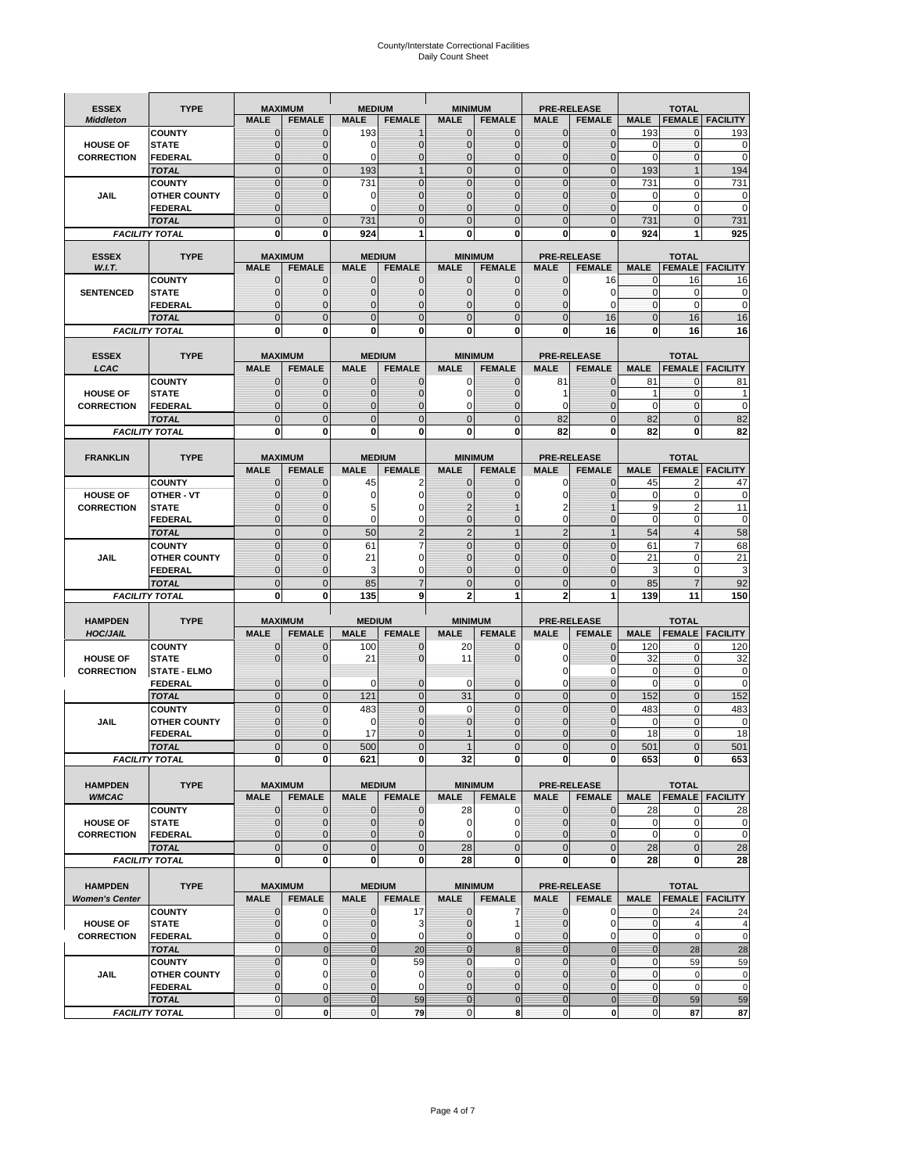# County/Interstate Correctional Facilities Daily Count Sheet

| <b>ESSEX</b>          | <b>TYPE</b>           |                | <b>MAXIMUM</b>                  | <b>MEDIUM</b>  |                | <b>MINIMUM</b> |                |                | <b>PRE-RELEASE</b> |              | <b>TOTAL</b>                  |                          |
|-----------------------|-----------------------|----------------|---------------------------------|----------------|----------------|----------------|----------------|----------------|--------------------|--------------|-------------------------------|--------------------------|
| <b>Middleton</b>      |                       | <b>MALE</b>    | <b>FEMALE</b>                   | <b>MALE</b>    | <b>FEMALE</b>  | <b>MALE</b>    | <b>FEMALE</b>  | <b>MALE</b>    | <b>FEMALE</b>      | <b>MALE</b>  |                               | <b>FEMALE   FACILITY</b> |
|                       | <b>COUNTY</b>         | $\mathbf 0$    | $\mathbf{0}$                    | 193            | $\mathbf 1$    | $\mathbf 0$    | $\mathbf{0}$   | $\mathbf{0}$   | $\overline{0}$     | 193          | $\mathbf 0$                   | 193                      |
| <b>HOUSE OF</b>       | <b>STATE</b>          | $\mathbf 0$    | $\mathbf{0}$                    | 0              | $\mathbf 0$    | $\mathbf{0}$   | $\mathbf{0}$   | 0              | $\overline{0}$     | 0            | $\pmb{0}$                     | 0                        |
| <b>CORRECTION</b>     | <b>FEDERAL</b>        | $\mathcal{C}$  | $\Omega$                        | 0              | $\mathbf 0$    | $\overline{0}$ | $\Omega$       | $\Omega$       | $\Omega$           | $\mathbf 0$  | $\mathbf{0}$                  | $\mathbf 0$              |
|                       | <b>TOTAL</b>          | $\overline{0}$ | $\mathbf 0$                     | 193            | $\mathbf{1}$   | $\mathbf{0}$   | $\mathbf 0$    | $\mathbf{0}$   | $\overline{0}$     | 193          | $\mathbf{1}$                  | 194                      |
|                       | <b>COUNTY</b>         | $\overline{0}$ | $\Omega$                        | 731            | $\Omega$       | $\mathbf{0}$   | $\overline{0}$ | $\mathbf{0}$   | $\overline{0}$     | 731          | 0                             | 731                      |
| JAIL                  | <b>OTHER COUNTY</b>   | $\mathbf 0$    | $\Omega$                        | 0              | $\Omega$       | 0              | $\Omega$       | $\Omega$       | $\overline{0}$     | 0            | 0                             | 0                        |
|                       | <b>FEDERAL</b>        | $\mathbf 0$    |                                 | 0              | $\Omega$       | $\mathbf{0}$   | $\mathbf{0}$   | $\mathbf{0}$   | 0                  | 0            | $\mathbf 0$                   | $\mathbf 0$              |
|                       | <b>TOTAL</b>          | $\Omega$       | $\Omega$                        | 731            | $\Omega$       | $\Omega$       | $\overline{0}$ | $\Omega$       | $\Omega$           | 731          | $\Omega$                      | 731                      |
|                       | <b>FACILITY TOTAL</b> | 0              | 0                               | 924            |                | 0              | $\bf{0}$       | 0              | 0                  | 924          | 1                             | 925                      |
|                       |                       |                |                                 |                |                |                |                |                |                    |              |                               |                          |
| <b>ESSEX</b>          | <b>TYPE</b>           |                | <b>MAXIMUM</b>                  |                | <b>MEDIUM</b>  |                | <b>MINIMUM</b> |                | <b>PRE-RELEASE</b> |              | <b>TOTAL</b>                  |                          |
| W.I.T.                |                       | <b>MALE</b>    | <b>FEMALE</b>                   | <b>MALE</b>    | <b>FEMALE</b>  | <b>MALE</b>    | <b>FEMALE</b>  | <b>MALE</b>    | <b>FEMALE</b>      | <b>MALE</b>  | <b>FEMALE</b>                 | <b>FACILITY</b>          |
|                       | <b>COUNTY</b>         | $\mathbf 0$    | $\mathbf{0}$                    | 0              | $\mathbf{0}$   | 0              | $\mathbf{0}$   | $\mathbf{0}$   | 16                 | 0            | 16                            | 16                       |
| <b>SENTENCED</b>      | <b>STATE</b>          | $\mathbf 0$    | $\mathbf{0}$                    | $\overline{0}$ | $\mathbf 0$    | $\mathbf{0}$   | $\mathbf{0}$   | $\mathbf{0}$   | 0                  | $\mathbf{0}$ | $\mathbf 0$                   | 0                        |
|                       | <b>FEDERAL</b>        | $\Omega$       | $\Omega$                        | $\overline{0}$ | $\Omega$       | $\mathbf 0$    | $\mathbf 0$    | $\Omega$       | $\Omega$           | $\mathbf 0$  | $\mathbf 0$                   | $\mathbf 0$              |
|                       | <b>TOTAL</b>          | $\Omega$       | $\Omega$                        | $\overline{0}$ | $\Omega$       | $\overline{0}$ | $\Omega$       | $\Omega$       | 16                 | $\mathbf{0}$ | 16                            | 16                       |
|                       | <b>FACILITY TOTAL</b> | 0              | 0                               | 0              | $\bf{0}$       | 0              | 0              | 0              | 16                 | 0            | 16                            | 16                       |
|                       |                       |                |                                 |                |                |                |                |                |                    |              |                               |                          |
| <b>ESSEX</b>          | <b>TYPE</b>           |                | <b>MAXIMUM</b>                  |                | <b>MEDIUM</b>  |                | <b>MINIMUM</b> |                | <b>PRE-RELEASE</b> |              | <b>TOTAL</b>                  |                          |
| LCAC                  |                       | <b>MALE</b>    | <b>FEMALE</b>                   | <b>MALE</b>    | <b>FEMALE</b>  | <b>MALE</b>    | <b>FEMALE</b>  | <b>MALE</b>    | <b>FEMALE</b>      | <b>MALE</b>  | <b>FEMALE</b>                 | <b>FACILITY</b>          |
|                       |                       |                |                                 |                |                |                |                |                |                    |              |                               |                          |
|                       | <b>COUNTY</b>         | $\mathbf{0}$   | $\mathbf{0}$                    | $\mathbf 0$    | $\mathbf{0}$   | $\pmb{0}$      | $\mathbf{0}$   | 81             | $\overline{0}$     | 81           | $\mathbf{0}$                  | 81                       |
| <b>HOUSE OF</b>       | <b>STATE</b>          | $\Omega$       | $\mathbf{0}$                    | $\overline{0}$ | $\mathbf 0$    | 0              | $\mathbf{0}$   | 1              | $\Omega$           | 1            | $\mathbf{O}$                  | 1                        |
| <b>CORRECTION</b>     | FEDERAL               | $\mathbf 0$    | 0                               | $\overline{0}$ | $\mathbf 0$    | 0              | $\mathbf 0$    | 0              | $\overline{0}$     | $\mathbf 0$  | $\mathbf{O}$                  | $\mathbf 0$              |
|                       | <b>TOTAL</b>          | $\Omega$       | $\mathbf 0$                     | $\overline{0}$ | $\Omega$       | $\overline{0}$ | $\overline{0}$ | 82             | $\overline{0}$     | 82           | $\mathbf{0}$                  | 82                       |
|                       | <b>FACILITY TOTAL</b> | 0              | 0                               | 0              | 0              | 0              | $\bf{0}$       | 82             | 0                  | 82           | 0                             | 82                       |
|                       |                       |                |                                 |                |                |                |                |                |                    |              |                               |                          |
| <b>FRANKLIN</b>       | <b>TYPE</b>           |                | <b>MAXIMUM</b>                  |                | <b>MEDIUM</b>  |                | <b>MINIMUM</b> |                | <b>PRE-RELEASE</b> |              | <b>TOTAL</b>                  |                          |
|                       |                       | <b>MALE</b>    | <b>FEMALE</b>                   | <b>MALE</b>    | <b>FEMALE</b>  | <b>MALE</b>    | <b>FEMALE</b>  | <b>MALE</b>    | <b>FEMALE</b>      | <b>MALE</b>  | <b>FEMALE</b>                 | <b>FACILITY</b>          |
|                       | <b>COUNTY</b>         | 0              | 0                               | 45             | 2              | 0              | $\mathbf 0$    | 0              | 0                  | 45           | $\overline{2}$                | 47                       |
| <b>HOUSE OF</b>       | OTHER - VT            | $\mathbf 0$    | $\overline{0}$                  | 0              | $\Omega$       | $\overline{0}$ | $\Omega$       | 0              | $\Omega$           | 0            | $\mathbf 0$                   | 0                        |
| <b>CORRECTION</b>     | <b>STATE</b>          | $\Omega$       | $\Omega$                        | 5              | n              | 2              |                | 2              |                    | 9            | $\overline{2}$                | 11                       |
|                       | <b>FEDERAL</b>        | $\mathbf 0$    | $\mathbf{0}$                    | 0              | 0              | $\Omega$       | $\mathbf{0}$   | 0              | $\overline{0}$     | $\mathbf 0$  | $\mathbf 0$                   | 0                        |
|                       | <b>TOTAL</b>          | $\overline{0}$ | $\overline{0}$                  | 50             | $\overline{2}$ | $\overline{2}$ | 1              | $\overline{2}$ | $\mathbf{1}$       | 54           | $\overline{4}$                | 58                       |
|                       | <b>COUNTY</b>         | $\overline{0}$ | $\mathbf 0$                     | 61             |                | $\mathbf 0$    | $\overline{0}$ | $\mathbf{0}$   | $\overline{0}$     | 61           | 7                             | 68                       |
| <b>JAIL</b>           | <b>OTHER COUNTY</b>   | $\Omega$       | $\Omega$                        | 21             | U              | $\mathbf{0}$   | $\Omega$       | $\Omega$       | $\Omega$           | 21           | $\mathbf 0$                   | 21                       |
|                       |                       | $\mathbf 0$    | $\mathbf 0$                     | 3              | 0              | $\overline{0}$ | $\mathbf 0$    | $\mathbf 0$    | $\overline{0}$     | 3            | $\mathbf 0$                   | 3                        |
|                       | <b>FEDERAL</b>        |                |                                 |                |                |                |                |                |                    |              |                               |                          |
|                       | <b>TOTAL</b>          | $\overline{0}$ | $\mathbf 0$                     | 85             | $\overline{7}$ | $\mathbf 0$    | $\overline{0}$ | $\mathbf 0$    | $\overline{0}$     | 85           | $\overline{7}$                | 92                       |
|                       | <b>FACILITY TOTAL</b> | 0              | 0                               | 135            | 9              | $\overline{2}$ |                | $\overline{2}$ | 1                  | 139          | 11                            | 150                      |
|                       |                       |                |                                 |                |                |                |                |                |                    |              |                               |                          |
| <b>HAMPDEN</b>        | <b>TYPE</b>           |                | <b>MAXIMUM</b>                  | <b>MEDIUM</b>  |                | <b>MINIMUM</b> |                |                | <b>PRE-RELEASE</b> |              | <b>TOTAL</b>                  |                          |
| <b>HOC/JAIL</b>       |                       | <b>MALE</b>    | <b>FEMALE</b>                   | <b>MALE</b>    | <b>FEMALE</b>  | <b>MALE</b>    | <b>FEMALE</b>  | <b>MALE</b>    | <b>FEMALE</b>      | <b>MALE</b>  | <b>FEMALE</b>                 | <b>FACILITY</b>          |
|                       | <b>COUNTY</b>         | $\mathbf{0}$   | $\mathbf{0}$                    | 100            | $\mathbf 0$    | 20             | $\mathbf 0$    | 0              | $\overline{0}$     | 120          | $\mathbf{0}$                  | 120                      |
| <b>HOUSE OF</b>       | <b>STATE</b>          | $\mathbf 0$    | $\mathbf{0}$                    | 21             | $\Omega$       | 11             | $\mathbf{0}$   | 0              | $\Omega$           | 32           | $\mathbf{0}$                  | 32                       |
| <b>CORRECTION</b>     | <b>STATE - ELMO</b>   |                |                                 |                |                |                |                | 0              | $\Omega$           | $\mathbf 0$  | $\mathbf{0}$                  | 0                        |
|                       | FEDERAL               | $\mathbf 0$    | $\mathbf{0}$                    | 0              | $\mathbf 0$    | 0              | $\mathbf{0}$   | 0              | $\Omega$           | $\mathbf 0$  | $\mathbf{0}$                  | 0                        |
|                       | <b>TOTAL</b>          | $\overline{0}$ | $\mathbf 0$                     | 121            | $\mathbf{0}$   | 31             | $\mathbf 0$    | $\overline{0}$ | $\overline{0}$     | 152          | $\pmb{0}$                     | 152                      |
|                       | <b>COUNTY</b>         | $\Omega$       | $\Omega$                        | 483            | $\Omega$       | $\Omega$       | $\Omega$       | $\Omega$       | $\Omega$           | 483          | $\mathbf{0}$                  | 483                      |
| <b>JAIL</b>           | <b>OTHER COUNTY</b>   | $\mathbf 0$    | 0                               | $\mathbf 0$    | O              | 0              | $\mathbf 0$    | 0              | $\mathcal{C}$      | $\mathbf 0$  | $\mathbf{0}$                  | $\mathbf 0$              |
|                       | FEDERAL               | $\sqrt{ }$     | $\Omega$                        | 17             | $\Omega$       | 1              | $\Omega$       | $\Omega$       | $\overline{0}$     | 18           | $\mathbf 0$                   | 18                       |
|                       | <b>TOTAL</b>          | $\mathcal{C}$  | $\Omega$                        | 500            |                |                | $\Omega$       |                | $\Omega$           | 501          | $\Omega$                      | 501                      |
|                       | <b>FACILITY TOTAL</b> |                |                                 |                |                |                |                |                |                    |              |                               |                          |
|                       |                       | 0              | 0                               | 621            | 0              | 32             | 0              | 0              | 0                  | 653          | 0                             | 653                      |
|                       |                       |                |                                 |                |                |                |                |                |                    |              |                               |                          |
| <b>HAMPDEN</b>        | <b>TYPE</b>           |                | <b>MAXIMUM</b><br><b>FEMALE</b> | <b>MALE</b>    | <b>MEDIUM</b>  |                | <b>MINIMUM</b> | <b>MALE</b>    | <b>PRE-RELEASE</b> | <b>MALE</b>  | <b>TOTAL</b><br><b>FEMALE</b> |                          |
| <b>WMCAC</b>          |                       | <b>MALE</b>    |                                 |                | <b>FEMALE</b>  | <b>MALE</b>    | <b>FEMALE</b>  |                | <b>FEMALE</b>      |              |                               | <b>FACILITY</b>          |
|                       | <b>COUNTY</b>         | 0              | $\mathbf{0}$                    | 0              | $\mathbf 0$    | 28             | 0              | $\mathbf{0}$   | 0                  | 28           | 0                             | 28                       |
| <b>HOUSE OF</b>       | <b>STATE</b>          | $\overline{0}$ | $\mathbf{0}$                    | 0              | $\mathbf 0$    | 0              | 0              | $\mathbf{0}$   | $\mathbf 0$        | 0            | $\mathbf 0$                   | 0                        |
| <b>CORRECTION</b>     | <b>FEDERAL</b>        | $\mathbf 0$    | $\mathbf{0}$                    | $\mathbf 0$    | 0              | $\mathbf 0$    | 0              | $\mathbf{0}$   | $\overline{0}$     | $\mathbf 0$  | $\mathbf 0$                   | $\mathbf 0$              |
|                       | <b>TOTAL</b>          | $\mathbf 0$    | $\mathbf 0$                     | $\pmb{0}$      | $\pmb{0}$      | 28             | $\pmb{0}$      | $\mathbf 0$    | $\mathbf 0$        | 28           | $\mathbf{0}$                  | 28                       |
|                       | <b>FACILITY TOTAL</b> | 0              | $\mathbf{0}$                    | 0              | 0              | 28             | 0              | $\mathbf 0$    | 0                  | 28           | $\mathbf 0$                   | 28                       |
|                       |                       |                |                                 |                |                |                |                |                |                    |              |                               |                          |
| <b>HAMPDEN</b>        | <b>TYPE</b>           |                | <b>MAXIMUM</b>                  |                | <b>MEDIUM</b>  |                | <b>MINIMUM</b> |                | <b>PRE-RELEASE</b> |              | <b>TOTAL</b>                  |                          |
| <b>Women's Center</b> |                       | <b>MALE</b>    | <b>FEMALE</b>                   | <b>MALE</b>    | <b>FEMALE</b>  | <b>MALE</b>    | <b>FEMALE</b>  | <b>MALE</b>    | <b>FEMALE</b>      | <b>MALE</b>  | <b>FEMALE</b>                 | <b>FACILITY</b>          |
|                       | <b>COUNTY</b>         | 0              | 0                               | 0              | 17             | 0              | 7              | 0              | 0                  | 0            | 24                            | 24                       |
| <b>HOUSE OF</b>       | <b>STATE</b>          | $\mathbf 0$    | 0                               | $\overline{0}$ | 3              | $\mathbf{0}$   | 1              | $\mathbf{0}$   | $\mathbf 0$        | $\mathbf 0$  | $\overline{4}$                | $\overline{4}$           |
| <b>CORRECTION</b>     | <b>FEDERAL</b>        | $\mathbf 0$    | 0                               | 0              | $\mathbf 0$    | 0              | 0              | 0              | 0                  | 0            | $\mathbf 0$                   | $\mathbf 0$              |
|                       | <b>TOTAL</b>          | $\overline{0}$ | $\mathbf 0$                     | $\overline{0}$ | 20             | $\overline{0}$ | 8              | $\overline{0}$ | $\mathbf 0$        | $\bf{0}$     | 28                            | 28                       |
|                       | <b>COUNTY</b>         | $\overline{0}$ | $\mathbf 0$                     | $\overline{0}$ | 59             | $\mathbf{0}$   | $\Omega$       | $\mathbf 0$    | $\overline{0}$     | $\mathbf 0$  | 59                            | 59                       |
| JAIL                  | <b>OTHER COUNTY</b>   | $\mathbf 0$    | 0                               | $\mathbf 0$    | $\mathbf 0$    | $\mathbf 0$    | $\mathbf{0}$   | $\mathbf 0$    | $\overline{0}$     | $\pmb{0}$    | $\mathbf 0$                   | 0                        |
|                       | FEDERAL               | 0              | 0                               | $\mathbf 0$    | $\mathbf 0$    | 0              | $\mathbf{0}$   | $\mathbf 0$    | 0                  | $\mathbf 0$  | $\mathbf 0$                   | $\mathbf 0$              |
|                       | <b>TOTAL</b>          | $\mathbf 0$    | $\mathbf 0$                     | $\bf{0}$       | 59             | $\mathbf{0}$   | $\mathbf 0$    | $\mathbf{0}$   | $\pmb{0}$          | $\bf{0}$     | 59                            | 59                       |
|                       |                       | $\mathbf 0$    | $\mathbf 0$                     | 0              | 79             | $\mathbf 0$    | 8              | 0              | 0                  | $\mathbf 0$  | 87                            | 87                       |
| <b>FACILITY TOTAL</b> |                       |                |                                 |                |                |                |                |                |                    |              |                               |                          |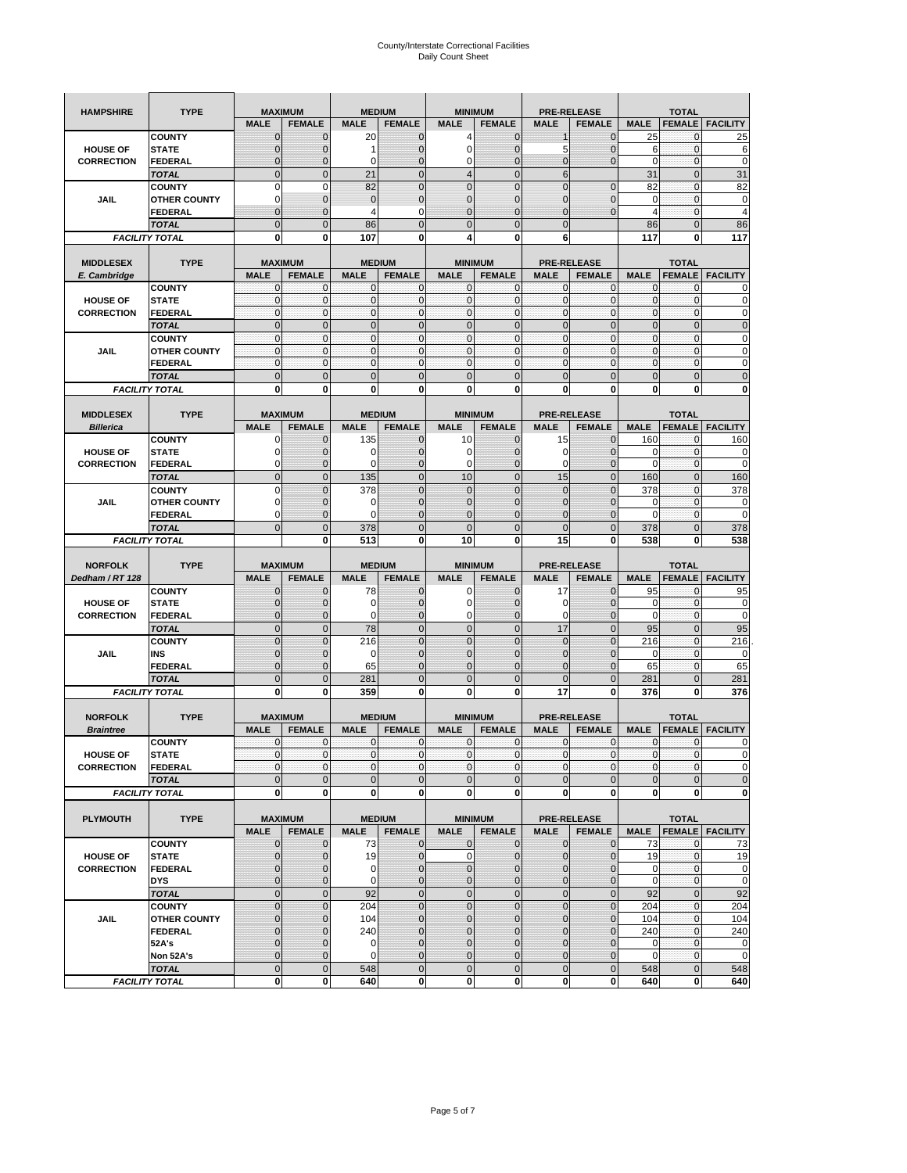| <b>HAMPSHIRE</b>  | <b>TYPE</b>                           |                              | <b>MAXIMUM</b>                |                   | <b>MEDIUM</b>                  |                  | <b>MINIMUM</b>                |                            | <b>PRE-RELEASE</b>                  |                             | <b>TOTAL</b>                  |                        |
|-------------------|---------------------------------------|------------------------------|-------------------------------|-------------------|--------------------------------|------------------|-------------------------------|----------------------------|-------------------------------------|-----------------------------|-------------------------------|------------------------|
|                   |                                       | <b>MALE</b>                  | <b>FEMALE</b>                 | <b>MALE</b>       | <b>FEMALE</b>                  | <b>MALE</b>      | <b>FEMALE</b>                 | <b>MALE</b>                | <b>FEMALE</b>                       | <b>MALE</b>                 | <b>FEMALE</b>                 | <b>FACILITY</b>        |
|                   | <b>COUNTY</b>                         | $\mathbf{0}$                 | $\mathbf 0$                   | 20                | $\mathbf{0}$                   | 4                | $\mathbf 0$                   | 1                          | $\overline{0}$                      | 25                          | 0                             | 25                     |
| <b>HOUSE OF</b>   | <b>STATE</b>                          | $\mathbf 0$                  | 0                             | 1                 | 0                              | 0                | $\overline{0}$                | 5                          | $\mathbf 0$                         | 6                           | $\mathbf{0}$                  | 6                      |
| <b>CORRECTION</b> | FEDERAL                               | $\mathbf 0$                  | $\overline{0}$                | 0                 | $\overline{0}$                 | $\mathbf 0$      | $\overline{0}$                | $\mathbf{0}$               | $\overline{0}$                      | $\mathbf 0$                 | $\mathbf{0}$                  | 0                      |
|                   | <b>TOTAL</b>                          | $\mathbf{0}$                 | $\overline{0}$                | 21                | $\mathbf 0$                    | $\overline{4}$   | $\overline{0}$                | $6\phantom{1}$             |                                     | 31                          | $\pmb{0}$                     | 31                     |
|                   | <b>COUNTY</b>                         | $\mathbf 0$                  | $\mathbf 0$                   | 82                | $\mathbf 0$                    | $\overline{0}$   | $\overline{0}$                | $\mathbf 0$                | $\mathbf 0$                         | 82                          | $\mathbf 0$                   | 82                     |
| <b>JAIL</b>       | <b>OTHER COUNTY</b>                   | 0                            | $\mathbf 0$                   | $\mathbf{0}$      | $\pmb{0}$                      | $\mathbf 0$      | $\mathbf 0$                   | 0                          | $\mathbf 0$                         | $\mathbf 0$                 | $\mathbf{0}$                  | 0                      |
|                   | <b>FEDERAL</b>                        | $\mathbf{0}$                 | $\mathbf 0$                   | 4                 | 0                              | $\overline{0}$   | $\mathbf{0}$                  | $\overline{0}$             | $\overline{0}$                      | $\overline{4}$              | $\mathbf{0}$                  | $\overline{4}$         |
|                   | <b>TOTAL</b>                          | $\mathbf 0$                  | $\mathbf 0$                   | 86                | $\mathbf 0$                    | $\overline{0}$   | $\overline{0}$                | $\mathbf 0$                |                                     | 86                          | $\mathbf 0$                   | 86                     |
|                   | <b>FACILITY TOTAL</b>                 | 0                            | 0                             | 107               | 0                              | 4                | 0                             | 6                          |                                     | 117                         | 0                             | 117                    |
|                   |                                       |                              |                               |                   |                                |                  |                               |                            |                                     |                             |                               |                        |
| <b>MIDDLESEX</b>  | <b>TYPE</b>                           |                              | <b>MAXIMUM</b>                |                   | <b>MEDIUM</b>                  |                  | <b>MINIMUM</b>                |                            | <b>PRE-RELEASE</b><br><b>FEMALE</b> |                             | <b>TOTAL</b><br><b>FEMALE</b> |                        |
| E. Cambridge      | <b>COUNTY</b>                         | <b>MALE</b><br>0             | <b>FEMALE</b><br>$\mathbf 0$  | <b>MALE</b><br>0  | <b>FEMALE</b><br>0             | <b>MALE</b><br>0 | <b>FEMALE</b><br>$\mathbf{0}$ | <b>MALE</b><br>0           | 0                                   | <b>MALE</b><br>$\mathbf{0}$ | 0                             | <b>FACILITY</b>        |
| <b>HOUSE OF</b>   | <b>STATE</b>                          | $\pmb{0}$                    | $\mathbf 0$                   | $\mathbf 0$       | $\mathbf 0$                    | $\mathbf{0}$     | $\mathbf 0$                   | $\mathbf{0}$               | $\mathbf 0$                         | $\pmb{0}$                   | $\mathbf{0}$                  | 0                      |
| <b>CORRECTION</b> | <b>FEDERAL</b>                        | $\mathbf{0}$                 | $\mathbf 0$                   | $\mathbf 0$       | $\mathbf{0}$                   | $\mathbf{0}$     | $\mathbf{0}$                  | $\mathbf{0}$               | $\mathbf 0$                         | $\mathbf{0}$                | $\mathbf{0}$                  | 0                      |
|                   | <b>TOTAL</b>                          | $\mathbf{0}$                 | $\overline{0}$                | $\overline{0}$    | $\mathbf 0$                    | $\mathbf{0}$     | $\mathbf{0}$                  | $\mathbf{0}$               | $\overline{0}$                      | $\pmb{0}$                   | $\mathbf{0}$                  | $\overline{0}$         |
|                   | <b>COUNTY</b>                         | $\mathbf{0}$                 | $\mathbf 0$                   | $\mathbf 0$       | $\mathbf{0}$                   | $\mathbf{0}$     | $\mathbf{0}$                  | $\mathbf{0}$               | $\mathbf 0$                         | $\bf 0$                     | $\pmb{0}$                     | 0                      |
| JAIL              | <b>OTHER COUNTY</b>                   | $\mathbf{0}$                 | $\mathbf 0$                   | $\mathbf 0$       | $\mathbf 0$                    | $\mathbf{0}$     | $\Omega$                      | $\mathbf{0}$               | $\mathbf 0$                         | $\mathbf{0}$                | $\mathbf{0}$                  | 0                      |
|                   | <b>FEDERAL</b>                        | $\mathbf{0}$                 | $\mathbf{0}$                  | $\mathbf{0}$      | $\mathbf 0$                    | $\mathbf 0$      | $\mathbf{0}$                  | $\pmb{0}$                  | $\mathbf 0$                         | $\mathbf{0}$                | $\pmb{0}$                     | 0                      |
|                   | <b>TOTAL</b>                          | $\mathbf{0}$                 | $\overline{0}$                | $\mathbf{0}$      | $\mathbf 0$                    | $\mathbf{0}$     | $\mathbf 0$                   | $\mathbf{0}$               | $\overline{0}$                      | $\mathbf 0$                 | $\mathbf 0$                   | $\overline{0}$         |
|                   | <b>FACILITY TOTAL</b>                 | 0                            | 0                             | $\mathbf 0$       | 0                              | 0                | $\mathbf{0}$                  | $\bf{0}$                   | 0                                   | 0                           | 0                             | O                      |
|                   |                                       |                              |                               |                   |                                |                  |                               |                            |                                     |                             |                               |                        |
| <b>MIDDLESEX</b>  | <b>TYPE</b>                           |                              | <b>MAXIMUM</b>                |                   | <b>MEDIUM</b>                  |                  | <b>MINIMUM</b>                |                            | <b>PRE-RELEASE</b>                  |                             | <b>TOTAL</b>                  |                        |
| <b>Billerica</b>  |                                       | <b>MALE</b>                  | <b>FEMALE</b>                 | <b>MALE</b>       | <b>FEMALE</b>                  | <b>MALE</b>      | <b>FEMALE</b>                 | <b>MALE</b>                | <b>FEMALE</b>                       | <b>MALE</b>                 | <b>FEMALE</b>                 | <b>FACILITY</b>        |
|                   | <b>COUNTY</b>                         | 0                            | $\mathbf 0$                   | 135               | $\mathbf{0}$                   | 10               | $\mathbf{0}$                  | 15                         | $\overline{0}$                      | 160                         | 0                             | 160                    |
| <b>HOUSE OF</b>   | <b>STATE</b>                          | 0                            | $\overline{0}$                | 0                 | $\mathbf{0}$                   | $\mathbf 0$      | $\mathbf{0}$                  | 0                          | $\overline{0}$                      | 0                           | $\mathbf 0$                   | 0                      |
| <b>CORRECTION</b> | <b>FEDERAL</b>                        | 0                            | $\mathbf 0$                   | $\mathbf 0$       | $\mathbf{0}$                   | 0                | $\mathbf{0}$                  | 0                          | $\mathbf 0$                         | $\mathbf 0$                 | $\pmb{0}$                     | 0                      |
|                   | <b>TOTAL</b>                          | $\mathbf{0}$                 | $\overline{0}$                | 135               | $\mathbf{0}$                   | 10               | $\mathbf 0$                   | 15                         | $\overline{0}$                      | 160                         | $\mathbf{0}$                  | 160                    |
|                   | <b>COUNTY</b>                         | $\mathbf 0$                  | $\overline{0}$                | 378               | $\overline{0}$                 | $\overline{0}$   | $\overline{0}$                | $\mathbf 0$                | $\overline{0}$                      | 378                         | $\mathbf 0$                   | 378                    |
| <b>JAIL</b>       | <b>OTHER COUNTY</b>                   | 0                            | 0                             | $\mathbf 0$       | 0                              | $\mathbf 0$      | $\overline{0}$                | 0                          | 0                                   | 0                           | 0                             | 0                      |
|                   | <b>FEDERAL</b>                        | 0                            | $\overline{0}$                | $\Omega$          | $\overline{0}$                 | $\overline{0}$   | $\overline{0}$                | 0                          | $\overline{0}$                      | $\mathbf 0$                 | $\mathbf{0}$                  | 0                      |
|                   | <b>TOTAL</b>                          | $\mathbf{0}$                 | $\mathbf 0$                   | 378               | $\mathbf 0$                    | $\overline{0}$   | $\mathbf 0$                   | $\mathbf{0}$               | $\overline{0}$                      | 378                         | $\mathbf 0$                   | 378                    |
|                   | <b>FACILITY TOTAL</b>                 |                              | 0                             | 513               | 0                              | 10               | 0                             | 15                         | 0                                   | 538                         | 0                             | 538                    |
|                   |                                       |                              |                               |                   |                                |                  |                               |                            |                                     |                             |                               |                        |
|                   |                                       |                              |                               |                   |                                |                  |                               |                            |                                     |                             |                               |                        |
| <b>NORFOLK</b>    | <b>TYPE</b>                           |                              | <b>MAXIMUM</b>                |                   | <b>MEDIUM</b>                  |                  | <b>MINIMUM</b>                |                            | <b>PRE-RELEASE</b>                  |                             | <b>TOTAL</b>                  |                        |
| Dedham / RT 128   |                                       | <b>MALE</b>                  | <b>FEMALE</b>                 | <b>MALE</b>       | <b>FEMALE</b>                  | <b>MALE</b>      | <b>FEMALE</b>                 | <b>MALE</b>                | <b>FEMALE</b>                       | <b>MALE</b>                 | <b>FEMALE</b>                 | <b>FACILITY</b>        |
| <b>HOUSE OF</b>   | <b>COUNTY</b><br><b>STATE</b>         | $\mathbf{0}$<br>$\mathbf{0}$ | $\mathbf 0$<br>$\overline{0}$ | 78<br>$\mathbf 0$ | $\mathbf{0}$<br>$\overline{0}$ | 0<br>$\mathbf 0$ | $\mathbf{0}$<br>$\mathbf{0}$  | 17<br>0                    | $\overline{0}$<br>$\overline{0}$    | 95<br>0                     | 0<br>$\mathbf 0$              | 95<br>0                |
| <b>CORRECTION</b> |                                       | 0                            | $\mathbf{0}$                  | 0                 | 0                              | 0                | $\mathbf 0$                   | 0                          | 0                                   | $\mathbf 0$                 | 0                             | 0                      |
|                   | <b>FEDERAL</b><br><b>TOTAL</b>        | $\mathbf{0}$                 | $\mathbf 0$                   | 78                | $\overline{0}$                 | $\mathbf 0$      | $\overline{0}$                | 17                         | $\overline{0}$                      | 95                          | $\mathbf{0}$                  | 95                     |
|                   | <b>COUNTY</b>                         | $\mathbf{0}$                 | $\overline{0}$                | 216               | $\overline{0}$                 | $\overline{0}$   | $\overline{0}$                | $\mathbf 0$                | $\overline{0}$                      | 216                         | $\mathbf 0$                   | 216                    |
| <b>JAIL</b>       | INS                                   | $\mathbf 0$                  | 0                             | 0                 | 0                              | $\mathbf{0}$     | $\overline{0}$                | 0                          | $\mathbf 0$                         | 0                           | 0                             | 0                      |
|                   | FEDERAL                               | $\mathbf{0}$                 | $\overline{0}$                | 65                | $\overline{0}$                 | $\overline{0}$   | $\overline{0}$                | $\overline{0}$             | $\overline{0}$                      | 65                          | $\mathbf{0}$                  | 65                     |
|                   | <b>TOTAL</b>                          | $\mathbf 0$                  | $\overline{0}$                | 281               | $\overline{0}$                 | $\overline{0}$   | $\overline{0}$                | $\overline{0}$             | $\overline{0}$                      | 281                         | $\overline{0}$                | 281                    |
|                   | <b>FACILITY TOTAL</b>                 | 0                            | 0                             | 359               | 0                              | 0                | $\mathbf 0$                   | 17                         | 0                                   | 376                         | 0                             | 376                    |
|                   |                                       |                              |                               |                   |                                |                  |                               |                            |                                     |                             |                               |                        |
| <b>NORFOLK</b>    | <b>TYPE</b>                           |                              | <b>MAXIMUM</b>                |                   | <b>MEDIUM</b>                  |                  | <b>MINIMUM</b>                |                            | <b>PRE-RELEASE</b>                  |                             | <b>TOTAL</b>                  |                        |
| <b>Braintree</b>  |                                       | <b>MALE</b>                  | <b>FEMALE</b>                 | <b>MALE</b>       | <b>FEMALE</b>                  | <b>MALE</b>      | <b>FEMALE</b>                 | <b>MALE</b>                | <b>FEMALE</b>                       | <b>MALE</b>                 | <b>FEMALE</b>                 | <b>FACILITY</b>        |
|                   | <b>COUNTY</b>                         | 0                            | $\mathbf 0$                   | $\mathbf 0$       | 0                              | 0                | $\mathbf{0}$                  | 0                          | 0                                   | 0                           | 0                             | 0                      |
| <b>HOUSE OF</b>   | <b>STATE</b>                          | $\mathbf{0}$                 | $\mathbf{0}$                  | $\mathbf{O}$      | $\overline{0}$                 | $\mathbf{0}$     | $\overline{0}$                | $\mathbf{0}$               | $\overline{0}$                      | $\mathbf{0}$                | $\mathbf{O}$                  | 0                      |
| <b>CORRECTION</b> | FEDERAL                               | $\mathbf 0$                  | 0                             | $\mathbf 0$       | $\mathbf 0$                    | $\mathbf 0$      | $\overline{0}$                | 0                          | $\mathbf 0$                         | $\mathbf 0$                 | $\mathbf 0$                   | 0                      |
|                   | <b>TOTAL</b>                          | $\pmb{0}$                    | $\mathbf 0$                   | $\mathbf 0$       | $\mathbf 0$                    | $\mathbf{0}$     | $\mathbf 0$                   | $\mathbf 0$                | $\pmb{0}$                           | $\mathbf 0$                 | $\pmb{0}$                     | $\mathbf 0$            |
|                   | <b>FACILITY TOTAL</b>                 | $\mathbf 0$                  | 0                             | $\mathbf{0}$      | 0                              | 0                | <sub>0</sub>                  | $\mathbf 0$                | 0                                   | $\mathbf 0$                 | $\mathbf 0$                   | $\mathbf{0}$           |
|                   |                                       |                              |                               |                   |                                |                  |                               |                            |                                     |                             |                               |                        |
| <b>PLYMOUTH</b>   | <b>TYPE</b>                           |                              | <b>MAXIMUM</b>                |                   | <b>MEDIUM</b>                  |                  | <b>MINIMUM</b>                |                            | <b>PRE-RELEASE</b>                  |                             | <b>TOTAL</b>                  |                        |
|                   |                                       | <b>MALE</b>                  | <b>FEMALE</b>                 | <b>MALE</b>       | <b>FEMALE</b>                  | <b>MALE</b>      | <b>FEMALE</b>                 | <b>MALE</b>                | <b>FEMALE</b>                       | <b>MALE</b>                 |                               | <b>FEMALE</b> FACILITY |
| <b>HOUSE OF</b>   | <b>COUNTY</b><br><b>STATE</b>         | $\mathbf{0}$<br>$\mathbf 0$  | $\mathbf{0}$<br>$\mathbf 0$   | 73<br>19          | $\mathbf 0$<br>$\pmb{0}$       | 0<br>$\pmb{0}$   | $\mathbf{0}$<br>$\mathbf 0$   | $\mathbf 0$<br>$\mathbf 0$ | $\mathbf{0}$<br>$\overline{0}$      | 73<br>19                    | $\mathbf 0$<br>$\mathbf 0$    | 73                     |
| <b>CORRECTION</b> | <b>FEDERAL</b>                        | $\mathbf{0}$                 | $\mathbf 0$                   | $\mathbf 0$       | $\mathbf 0$                    | $\mathbf 0$      | $\mathbf{0}$                  | 0                          | $\overline{0}$                      | $\mathbf 0$                 | $\mathbf 0$                   | 19<br>$\mathbf 0$      |
|                   | <b>DYS</b>                            | $\mathbf{0}$                 | $\mathbf{0}$                  | 0                 | $\pmb{0}$                      | $\mathbf 0$      | $\overline{0}$                | $\mathbf 0$                | $\mathbf 0$                         | $\mathbf{0}$                | $\overline{0}$                | $\mathbf 0$            |
|                   | <b>TOTAL</b>                          | $\mathbf 0$                  | $\mathbf 0$                   | 92                | $\mathbf 0$                    | $\mathbf 0$      | $\mathbf 0$                   | $\mathbf 0$                | $\pmb{0}$                           | 92                          | $\mathbf{0}$                  | 92                     |
|                   | <b>COUNTY</b>                         | $\pmb{0}$                    | $\mathbf 0$                   | 204               | $\mathbf 0$                    | $\mathbf{0}$     | $\overline{0}$                | $\mathbf 0$                | $\pmb{0}$                           | 204                         | $\mathbf 0$                   | 204                    |
| JAIL              | <b>OTHER COUNTY</b>                   | $\mathbf{0}$                 | $\mathbf{0}$                  | 104               | $\pmb{0}$                      | $\mathbf 0$      | $\overline{0}$                | 0                          | $\mathbf 0$                         | 104                         | $\mathbf 0$                   | 104                    |
|                   | <b>FEDERAL</b>                        | $\mathbf 0$                  | $\mathbf 0$                   | 240               | 0                              | $\mathbf 0$      | $\overline{0}$                | $\mathbf 0$                | $\mathbf 0$                         | 240                         | $\mathbf 0$                   |                        |
|                   | 52A's                                 | $\mathbf{0}$                 | $\mathbf 0$                   | 0                 | $\mathbf{0}$                   | $\mathbf 0$      | $\overline{0}$                | $\mathbf 0$                | $\mathbf 0$                         | $\mathbf 0$                 | $\mathbf{0}$                  | 240<br>$\mathbf 0$     |
|                   | Non 52A's                             | $\mathbf 0$                  | $\mathbf{0}$                  | 0                 | 0                              | $\mathbf 0$      | $\overline{0}$                | $\mathbf 0$                | $\mathbf 0$                         | $\mathbf 0$                 | $\mathbf 0$                   | $\mathbf 0$            |
|                   | <b>TOTAL</b><br><b>FACILITY TOTAL</b> | $\mathbf{0}$<br>$\mathbf 0$  | $\mathbf 0$<br>0              | 548<br>640        | $\overline{0}$<br>0            | $\mathbf 0$<br>0 | $\overline{0}$<br>0           | $\mathbf 0$<br>$\pmb{0}$   | $\pmb{0}$<br>0                      | 548<br>640                  | $\mathbf 0$<br>$\mathbf 0$    | 548<br>640             |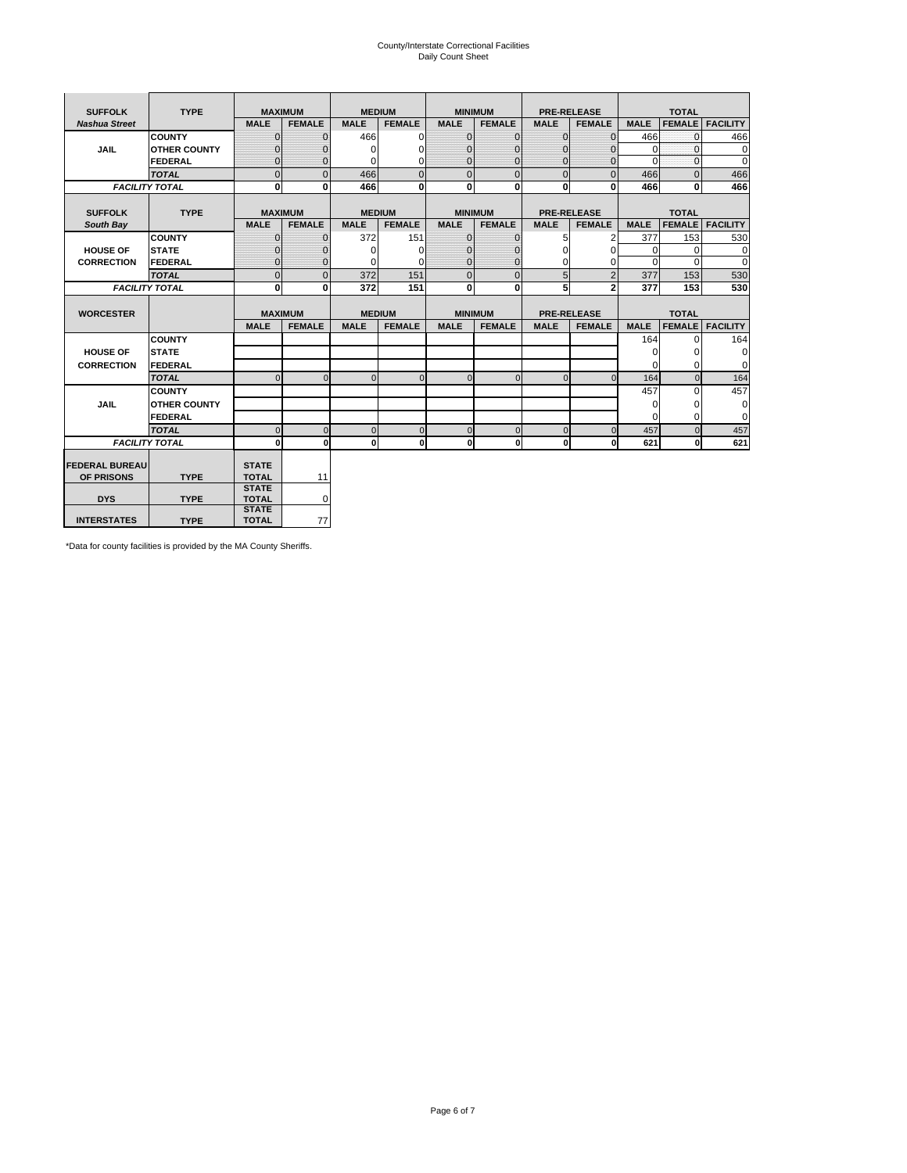# County/Interstate Correctional Facilities Daily Count Sheet

| <b>SUFFOLK</b>        | <b>TYPE</b>           |                              | <b>MAXIMUM</b> |               | <b>MEDIUM</b>  |              | <b>MINIMUM</b> |              | <b>PRE-RELEASE</b> |             | <b>TOTAL</b>  |                 |
|-----------------------|-----------------------|------------------------------|----------------|---------------|----------------|--------------|----------------|--------------|--------------------|-------------|---------------|-----------------|
| <b>Nashua Street</b>  |                       | <b>MALE</b>                  | <b>FEMALE</b>  | <b>MALE</b>   | <b>FEMALE</b>  | <b>MALE</b>  | <b>FEMALE</b>  | <b>MALE</b>  | <b>FEMALE</b>      | <b>MALE</b> | <b>FEMALE</b> | <b>FACILITY</b> |
|                       | <b>COUNTY</b>         | $\Omega$                     | $\mathbf{0}$   | 466           | $\Omega$       | $\mathbf{0}$ | $\Omega$       | $\Omega$     | $\Omega$           | 466         | $\Omega$      | 466             |
| <b>JAIL</b>           | <b>OTHER COUNTY</b>   | $\Omega$                     | 0              | $\Omega$      | 0              | $\mathbf{0}$ | $\Omega$       | $\Omega$     | $\Omega$           | $\Omega$    | $\Omega$      | 0               |
|                       | <b>FEDERAL</b>        | $\Omega$                     | $\Omega$       | 0             | $\Omega$       | $\mathbf{0}$ | $\Omega$       | $\Omega$     | $\Omega$           | $\Omega$    | $\Omega$      | $\Omega$        |
|                       | <b>TOTAL</b>          | $\Omega$                     | $\mathbf 0$    | 466           | $\overline{0}$ | $\mathbf{0}$ | $\mathbf 0$    | $\mathbf{0}$ | $\Omega$           | 466         | $\Omega$      | 466             |
|                       | <b>FACILITY TOTAL</b> | 0                            | 0              | 466           | $\bf{0}$       | $\mathbf{0}$ | 0              | $\mathbf{0}$ | 0                  | 466         | 0             | 466             |
|                       |                       |                              |                |               |                |              |                |              |                    |             |               |                 |
| <b>SUFFOLK</b>        | <b>TYPE</b>           |                              | <b>MAXIMUM</b> | <b>MEDIUM</b> |                |              | <b>MINIMUM</b> |              | <b>PRE-RELEASE</b> |             | <b>TOTAL</b>  |                 |
| South Bay             |                       | <b>MALE</b>                  | <b>FEMALE</b>  | <b>MALE</b>   | <b>FEMALE</b>  | <b>MALE</b>  | <b>FEMALE</b>  | <b>MALE</b>  | <b>FEMALE</b>      | <b>MALE</b> | <b>FEMALE</b> | <b>FACILITY</b> |
|                       | <b>COUNTY</b>         | $\Omega$                     | $\mathbf{0}$   | 372           | 151            | $\mathbf{0}$ | $\mathbf{0}$   | 5            | 2                  | 377         | 153           | 530             |
| <b>HOUSE OF</b>       | <b>STATE</b>          |                              | $\mathbf{0}$   | $\Omega$      | $\Omega$       | $\Omega$     | O              | $\Omega$     | $\Omega$           | $\Omega$    | $\Omega$      | 0               |
| <b>CORRECTION</b>     | <b>FEDERAL</b>        | $\Omega$                     | $\mathbf{0}$   | $\Omega$      | $\Omega$       | $\mathbf{0}$ | $\mathbf{0}$   | $\Omega$     | 0                  | $\Omega$    | $\Omega$      | $\Omega$        |
|                       | <b>TOTAL</b>          | $\Omega$                     | $\overline{0}$ | 372           | 151            | $\mathbf 0$  | $\mathbf 0$    | 5            | $\overline{2}$     | 377         | 153           | 530             |
| <b>FACILITY TOTAL</b> |                       | 0                            | 0              | 372           | 151            | <sub>0</sub> | $\bf{0}$       | 5            | $\overline{2}$     | 377         | 153           | 530             |
|                       |                       |                              |                |               |                |              |                |              |                    |             |               |                 |
| <b>WORCESTER</b>      |                       |                              | <b>MAXIMUM</b> |               | <b>MEDIUM</b>  |              | <b>MINIMUM</b> |              | <b>PRE-RELEASE</b> |             | <b>TOTAL</b>  |                 |
|                       |                       | <b>MALE</b>                  | <b>FEMALE</b>  | <b>MALE</b>   | <b>FEMALE</b>  | <b>MALE</b>  | <b>FEMALE</b>  | <b>MALE</b>  | <b>FEMALE</b>      | <b>MALE</b> | <b>FEMALE</b> | <b>FACILITY</b> |
|                       | <b>COUNTY</b>         |                              |                |               |                |              |                |              |                    | 164         | $\Omega$      | 164             |
| <b>HOUSE OF</b>       | <b>STATE</b>          |                              |                |               |                |              |                |              |                    | 0           | 0             | 0               |
| <b>CORRECTION</b>     | <b>FEDERAL</b>        |                              |                |               |                |              |                |              |                    | $\Omega$    | $\Omega$      | $\Omega$        |
|                       | <b>TOTAL</b>          | U                            | $\Omega$       | $\Omega$      | $\mathbf 0$    | $\Omega$     | $\Omega$       | $\Omega$     | $\Omega$           | 164         | $\Omega$      | 164             |
|                       | <b>COUNTY</b>         |                              |                |               |                |              |                |              |                    | 457         | $\Omega$      | 457             |
| <b>JAIL</b>           | <b>OTHER COUNTY</b>   |                              |                |               |                |              |                |              |                    | 0           | 0             | 0               |
|                       | FEDERAL               |                              |                |               |                |              |                |              |                    | $\Omega$    | $\Omega$      | $\Omega$        |
|                       | <b>TOTAL</b>          | $\cap$                       | $\Omega$       | $\Omega$      | $\mathbf{0}$   | $\mathbf{0}$ | $\mathbf{0}$   | $\mathbf 0$  | $\Omega$           | 457         | $\Omega$      | 457             |
| <b>FACILITY TOTAL</b> |                       | $\Omega$                     | $\mathbf 0$    | $\Omega$      | 0              | 0            | $\mathbf{0}$   | $\mathbf 0$  | 0                  | 621         | O             | 621             |
|                       |                       |                              |                |               |                |              |                |              |                    |             |               |                 |
| <b>FEDERAL BUREAU</b> |                       | <b>STATE</b>                 |                |               |                |              |                |              |                    |             |               |                 |
| OF PRISONS            | <b>TYPE</b>           | <b>TOTAL</b>                 | 11             |               |                |              |                |              |                    |             |               |                 |
| <b>DYS</b>            | <b>TYPE</b>           | <b>STATE</b><br><b>TOTAL</b> | 0              |               |                |              |                |              |                    |             |               |                 |
|                       |                       | <b>STATE</b>                 |                |               |                |              |                |              |                    |             |               |                 |
| <b>INTERSTATES</b>    | <b>TYPE</b>           | <b>TOTAL</b>                 | 77             |               |                |              |                |              |                    |             |               |                 |

\*Data for county facilities is provided by the MA County Sheriffs.